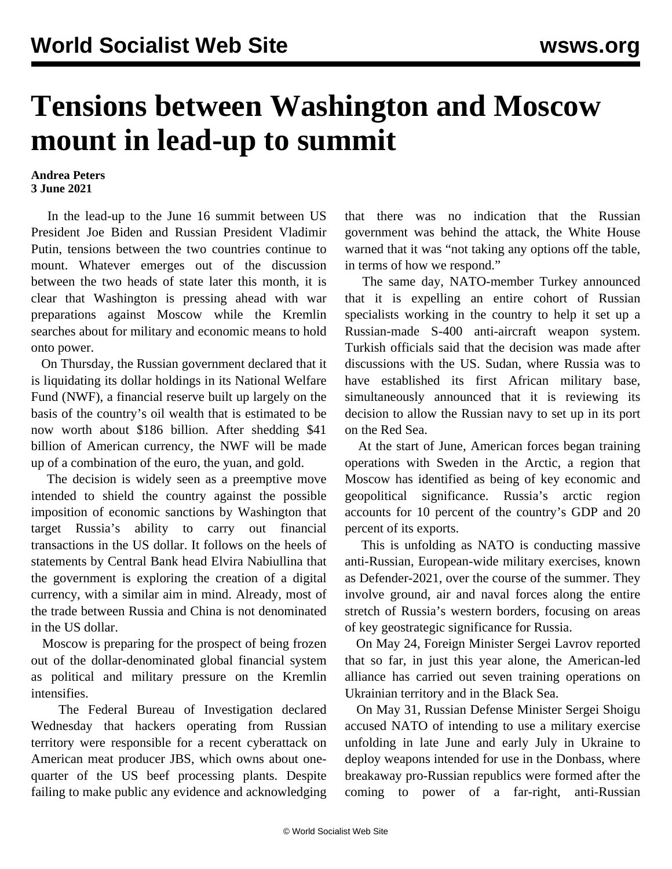## **Tensions between Washington and Moscow mount in lead-up to summit**

## **Andrea Peters 3 June 2021**

 In the lead-up to the June 16 summit between US President Joe Biden and Russian President Vladimir Putin, tensions between the two countries continue to mount. Whatever emerges out of the discussion between the two heads of state later this month, it is clear that Washington is pressing ahead with war preparations against Moscow while the Kremlin searches about for military and economic means to hold onto power.

 On Thursday, the Russian government declared that it is liquidating its dollar holdings in its National Welfare Fund (NWF), a financial reserve built up largely on the basis of the country's oil wealth that is estimated to be now worth about \$186 billion. After shedding \$41 billion of American currency, the NWF will be made up of a combination of the euro, the yuan, and gold.

 The decision is widely seen as a preemptive move intended to shield the country against the possible imposition of economic sanctions by Washington that target Russia's ability to carry out financial transactions in the US dollar. It follows on the heels of statements by Central Bank head Elvira Nabiullina that the government is exploring the creation of a digital currency, with a similar aim in mind. Already, most of the trade between Russia and China is not denominated in the US dollar.

 Moscow is preparing for the prospect of being frozen out of the dollar-denominated global financial system as political and military pressure on the Kremlin intensifies.

 The Federal Bureau of Investigation declared Wednesday that hackers operating from Russian territory were responsible for a recent cyberattack on American meat producer JBS, which owns about onequarter of the US beef processing plants. Despite failing to make public any evidence and acknowledging

that there was no indication that the Russian government was behind the attack, the White House warned that it was "not taking any options off the table, in terms of how we respond."

 The same day, NATO-member Turkey announced that it is expelling an entire cohort of Russian specialists working in the country to help it set up a Russian-made S-400 anti-aircraft weapon system. Turkish officials said that the decision was made after discussions with the US. Sudan, where Russia was to have established its first African military base, simultaneously announced that it is reviewing its decision to allow the Russian navy to set up in its port on the Red Sea.

 At the start of June, American forces began training operations with Sweden in the Arctic, a region that Moscow has identified as being of key economic and geopolitical significance. Russia's arctic region accounts for 10 percent of the country's GDP and 20 percent of its exports.

 This is unfolding as NATO is conducting massive anti-Russian, European-wide military exercises, known as [Defender-2021](/en/articles/2021/04/08/ukra-a08.html), over the course of the summer. They involve ground, air and naval forces along the entire stretch of Russia's western borders, focusing on areas of key geostrategic significance for Russia.

 On May 24, Foreign Minister Sergei Lavrov reported that so far, in just this year alone, the American-led alliance has carried out seven training operations on Ukrainian territory and in the Black Sea.

 On May 31, Russian Defense Minister Sergei Shoigu accused NATO of intending to use a military exercise unfolding in late June and early July in Ukraine to deploy weapons intended for use in the Donbass, where breakaway pro-Russian republics were formed after the coming to power of a far-right, anti-Russian